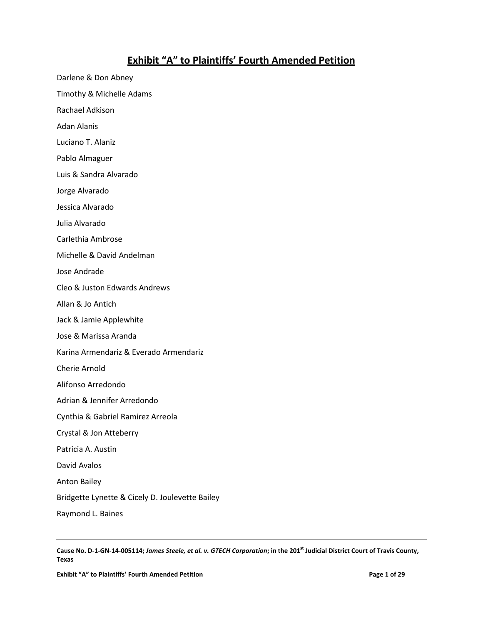## **Exhibit "A" to Plaintiffs' Fourth Amended Petition**

Darlene & Don Abney Timothy & Michelle Adams Rachael Adkison Adan Alanis Luciano T. Alaniz Pablo Almaguer Luis & Sandra Alvarado Jorge Alvarado Jessica Alvarado Julia Alvarado Carlethia Ambrose Michelle & David Andelman Jose Andrade Cleo & Juston Edwards Andrews Allan & Jo Antich Jack & Jamie Applewhite Jose & Marissa Aranda Karina Armendariz & Everado Armendariz Cherie Arnold Alifonso Arredondo Adrian & Jennifer Arredondo Cynthia & Gabriel Ramirez Arreola Crystal & Jon Atteberry Patricia A. Austin David Avalos Anton Bailey Bridgette Lynette & Cicely D. Joulevette Bailey

Raymond L. Baines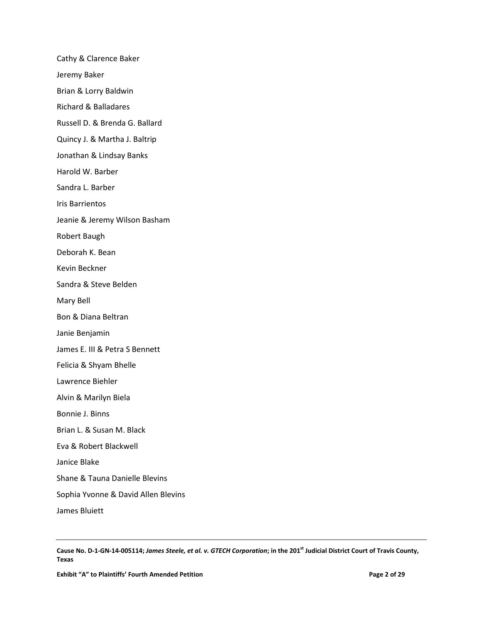Cathy & Clarence Baker Jeremy Baker Brian & Lorry Baldwin Richard & Balladares Russell D. & Brenda G. Ballard Quincy J. & Martha J. Baltrip Jonathan & Lindsay Banks Harold W. Barber Sandra L. Barber Iris Barrientos Jeanie & Jeremy Wilson Basham Robert Baugh Deborah K. Bean Kevin Beckner Sandra & Steve Belden Mary Bell Bon & Diana Beltran Janie Benjamin James E. III & Petra S Bennett Felicia & Shyam Bhelle Lawrence Biehler Alvin & Marilyn Biela Bonnie J. Binns Brian L. & Susan M. Black Eva & Robert Blackwell Janice Blake Shane & Tauna Danielle Blevins Sophia Yvonne & David Allen Blevins James Bluiett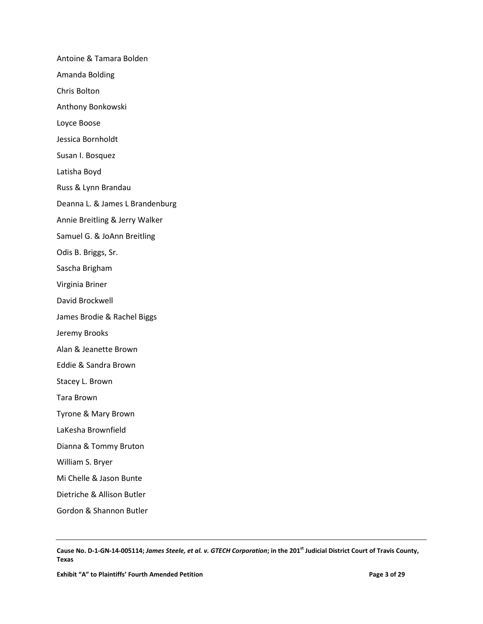Antoine & Tamara Bolden Amanda Bolding Chris Bolton Anthony Bonkowski Loyce Boose Jessica Bornholdt Susan I. Bosquez Latisha Boyd Russ & Lynn Brandau Deanna L. & James L Brandenburg Annie Breitling & Jerry Walker Samuel G. & JoAnn Breitling Odis B. Briggs, Sr. Sascha Brigham Virginia Briner David Brockwell James Brodie & Rachel Biggs Jeremy Brooks Alan & Jeanette Brown Eddie & Sandra Brown Stacey L. Brown Tara Brown Tyrone & Mary Brown LaKesha Brownfield Dianna & Tommy Bruton William S. Bryer Mi Chelle & Jason Bunte Dietriche & Allison Butler Gordon & Shannon Butler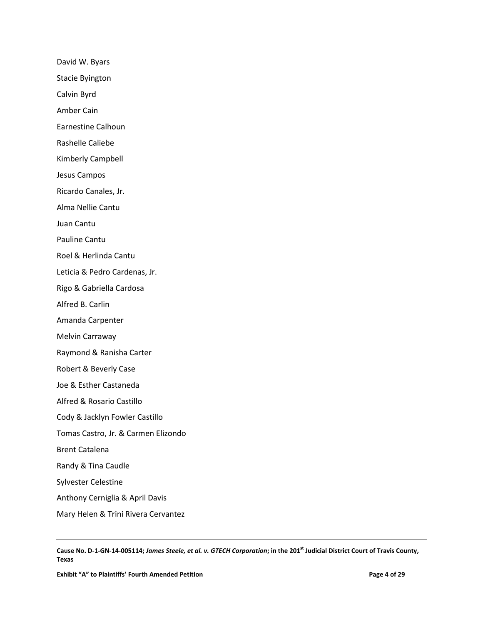David W. Byars

Stacie Byington

Calvin Byrd

Amber Cain

Earnestine Calhoun

Rashelle Caliebe

Kimberly Campbell

Jesus Campos

Ricardo Canales, Jr.

Alma Nellie Cantu

Juan Cantu

Pauline Cantu

Roel & Herlinda Cantu

Leticia & Pedro Cardenas, Jr.

Rigo & Gabriella Cardosa

Alfred B. Carlin

Amanda Carpenter

Melvin Carraway

Raymond & Ranisha Carter

Robert & Beverly Case

Joe & Esther Castaneda

Alfred & Rosario Castillo

Cody & Jacklyn Fowler Castillo

Tomas Castro, Jr. & Carmen Elizondo

Brent Catalena

Randy & Tina Caudle

Sylvester Celestine

Anthony Cerniglia & April Davis

Mary Helen & Trini Rivera Cervantez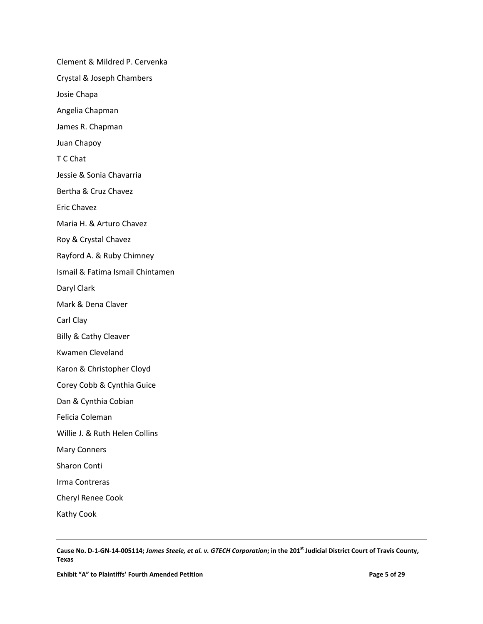Clement & Mildred P. Cervenka Crystal & Joseph Chambers Josie Chapa Angelia Chapman James R. Chapman Juan Chapoy T C Chat Jessie & Sonia Chavarria Bertha & Cruz Chavez Eric Chavez Maria H. & Arturo Chavez Roy & Crystal Chavez Rayford A. & Ruby Chimney Ismail & Fatima Ismail Chintamen Daryl Clark Mark & Dena Claver Carl Clay Billy & Cathy Cleaver Kwamen Cleveland Karon & Christopher Cloyd Corey Cobb & Cynthia Guice Dan & Cynthia Cobian Felicia Coleman Willie J. & Ruth Helen Collins Mary Conners Sharon Conti Irma Contreras Cheryl Renee Cook Kathy Cook

Cause No. D-1-GN-14-005114; *James Steele, et al. v. GTECH Corporation*; in the 201<sup>st</sup> Judicial District Court of Travis County, **Texas**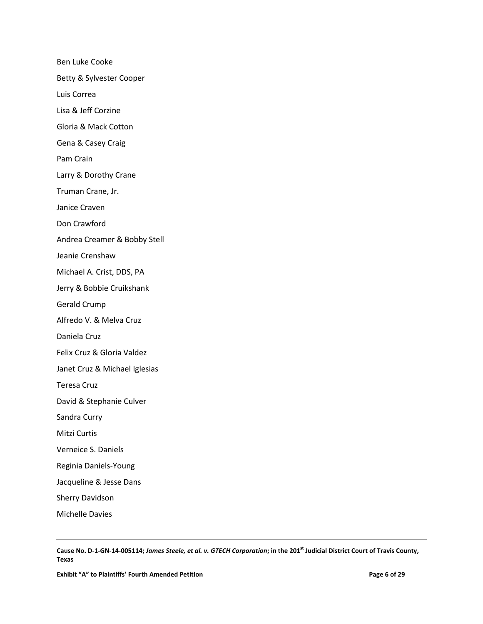Ben Luke Cooke Betty & Sylvester Cooper Luis Correa Lisa & Jeff Corzine Gloria & Mack Cotton Gena & Casey Craig Pam Crain Larry & Dorothy Crane Truman Crane, Jr. Janice Craven Don Crawford Andrea Creamer & Bobby Stell Jeanie Crenshaw Michael A. Crist, DDS, PA Jerry & Bobbie Cruikshank Gerald Crump Alfredo V. & Melva Cruz Daniela Cruz Felix Cruz & Gloria Valdez Janet Cruz & Michael Iglesias Teresa Cruz David & Stephanie Culver Sandra Curry Mitzi Curtis Verneice S. Daniels Reginia Daniels-Young Jacqueline & Jesse Dans Sherry Davidson Michelle Davies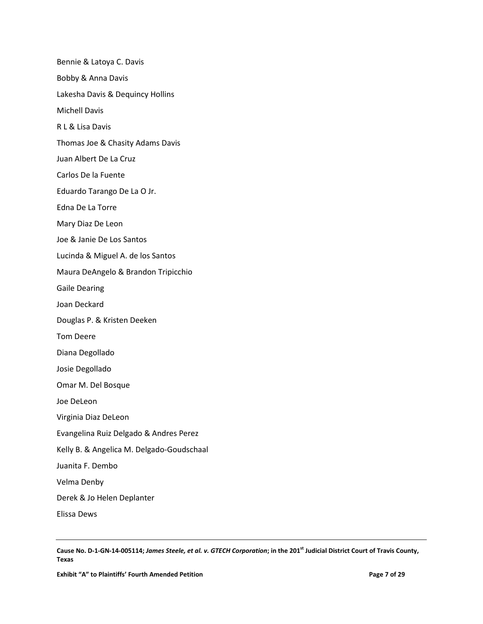Bennie & Latoya C. Davis Bobby & Anna Davis Lakesha Davis & Dequincy Hollins Michell Davis R L & Lisa Davis Thomas Joe & Chasity Adams Davis Juan Albert De La Cruz Carlos De la Fuente Eduardo Tarango De La O Jr. Edna De La Torre Mary Diaz De Leon Joe & Janie De Los Santos Lucinda & Miguel A. de los Santos Maura DeAngelo & Brandon Tripicchio Gaile Dearing Joan Deckard Douglas P. & Kristen Deeken Tom Deere Diana Degollado Josie Degollado Omar M. Del Bosque Joe DeLeon Virginia Diaz DeLeon Evangelina Ruiz Delgado & Andres Perez Kelly B. & Angelica M. Delgado-Goudschaal Juanita F. Dembo Velma Denby Derek & Jo Helen Deplanter Elissa Dews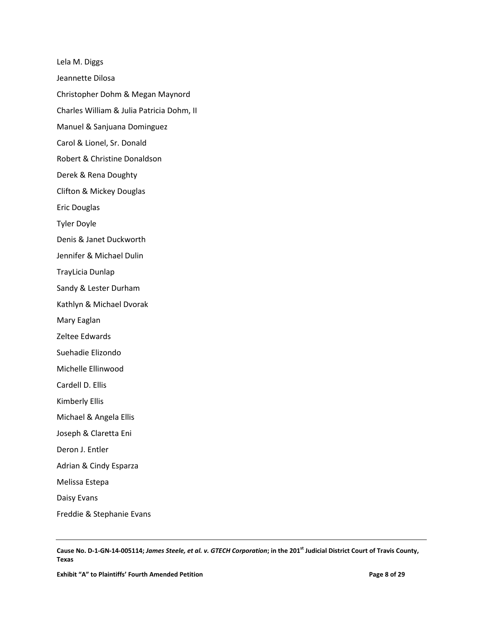Lela M. Diggs Jeannette Dilosa Christopher Dohm & Megan Maynord Charles William & Julia Patricia Dohm, II Manuel & Sanjuana Dominguez Carol & Lionel, Sr. Donald Robert & Christine Donaldson Derek & Rena Doughty Clifton & Mickey Douglas Eric Douglas Tyler Doyle Denis & Janet Duckworth Jennifer & Michael Dulin TrayLicia Dunlap Sandy & Lester Durham Kathlyn & Michael Dvorak Mary Eaglan Zeltee Edwards Suehadie Elizondo Michelle Ellinwood Cardell D. Ellis Kimberly Ellis Michael & Angela Ellis Joseph & Claretta Eni Deron J. Entler Adrian & Cindy Esparza Melissa Estepa Daisy Evans Freddie & Stephanie Evans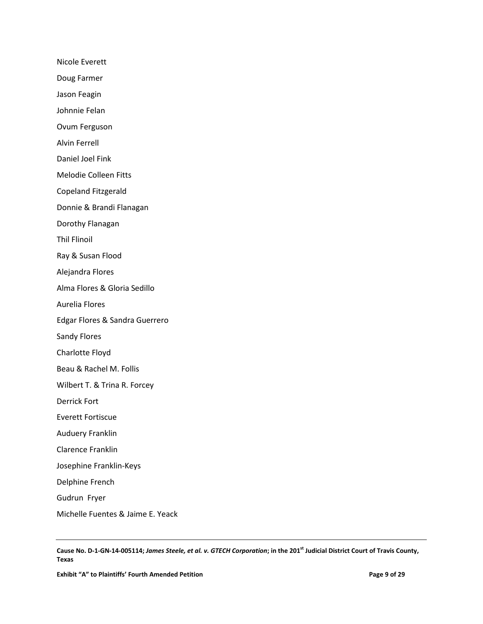Nicole Everett

Doug Farmer

Jason Feagin

Johnnie Felan

Ovum Ferguson

Alvin Ferrell

Daniel Joel Fink

Melodie Colleen Fitts

Copeland Fitzgerald

Donnie & Brandi Flanagan

Dorothy Flanagan

Thil Flinoil

Ray & Susan Flood

Alejandra Flores

Alma Flores & Gloria Sedillo

Aurelia Flores

Edgar Flores & Sandra Guerrero

Sandy Flores

Charlotte Floyd

Beau & Rachel M. Follis

Wilbert T. & Trina R. Forcey

Derrick Fort

Everett Fortiscue

Auduery Franklin

Clarence Franklin

Josephine Franklin-Keys

Delphine French

Gudrun Fryer

Michelle Fuentes & Jaime E. Yeack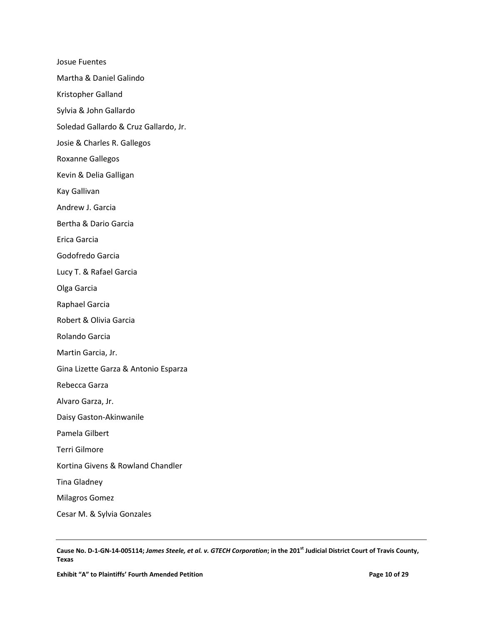Josue Fuentes Martha & Daniel Galindo Kristopher Galland Sylvia & John Gallardo Soledad Gallardo & Cruz Gallardo, Jr. Josie & Charles R. Gallegos Roxanne Gallegos Kevin & Delia Galligan Kay Gallivan Andrew J. Garcia Bertha & Dario Garcia Erica Garcia Godofredo Garcia Lucy T. & Rafael Garcia Olga Garcia Raphael Garcia Robert & Olivia Garcia Rolando Garcia Martin Garcia, Jr. Gina Lizette Garza & Antonio Esparza Rebecca Garza Alvaro Garza, Jr. Daisy Gaston-Akinwanile Pamela Gilbert Terri Gilmore Kortina Givens & Rowland Chandler Tina Gladney Milagros Gomez Cesar M. & Sylvia Gonzales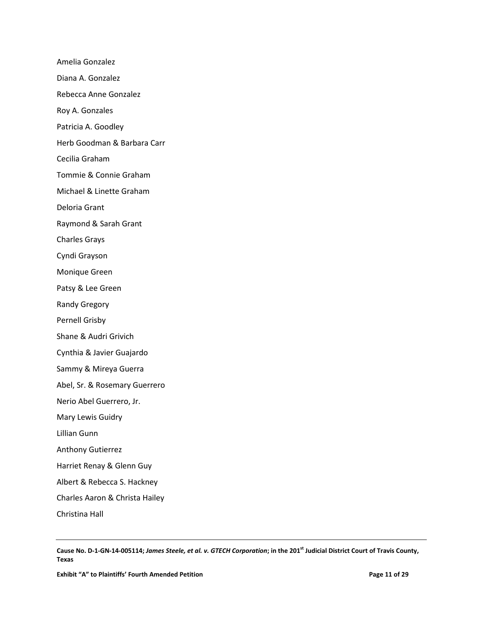Amelia Gonzalez Diana A. Gonzalez Rebecca Anne Gonzalez Roy A. Gonzales Patricia A. Goodley Herb Goodman & Barbara Carr Cecilia Graham Tommie & Connie Graham Michael & Linette Graham Deloria Grant Raymond & Sarah Grant Charles Grays Cyndi Grayson Monique Green Patsy & Lee Green Randy Gregory Pernell Grisby Shane & Audri Grivich Cynthia & Javier Guajardo Sammy & Mireya Guerra Abel, Sr. & Rosemary Guerrero Nerio Abel Guerrero, Jr. Mary Lewis Guidry Lillian Gunn Anthony Gutierrez Harriet Renay & Glenn Guy Albert & Rebecca S. Hackney Charles Aaron & Christa Hailey Christina Hall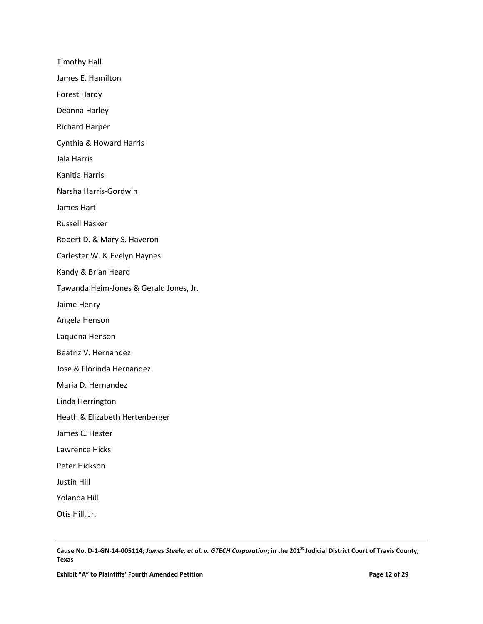Timothy Hall James E. Hamilton Forest Hardy Deanna Harley Richard Harper Cynthia & Howard Harris Jala Harris Kanitia Harris Narsha Harris-Gordwin James Hart Russell Hasker Robert D. & Mary S. Haveron Carlester W. & Evelyn Haynes Kandy & Brian Heard Tawanda Heim-Jones & Gerald Jones, Jr. Jaime Henry Angela Henson Laquena Henson Beatriz V. Hernandez Jose & Florinda Hernandez Maria D. Hernandez Linda Herrington Heath & Elizabeth Hertenberger James C. Hester Lawrence Hicks Peter Hickson Justin Hill Yolanda Hill Otis Hill, Jr.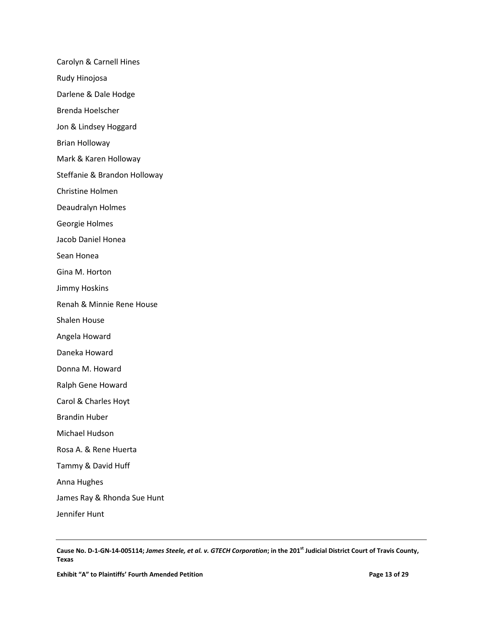Carolyn & Carnell Hines Rudy Hinojosa Darlene & Dale Hodge Brenda Hoelscher Jon & Lindsey Hoggard Brian Holloway Mark & Karen Holloway Steffanie & Brandon Holloway Christine Holmen Deaudralyn Holmes Georgie Holmes Jacob Daniel Honea Sean Honea Gina M. Horton Jimmy Hoskins Renah & Minnie Rene House Shalen House Angela Howard Daneka Howard Donna M. Howard Ralph Gene Howard Carol & Charles Hoyt Brandin Huber Michael Hudson Rosa A. & Rene Huerta Tammy & David Huff Anna Hughes James Ray & Rhonda Sue Hunt Jennifer Hunt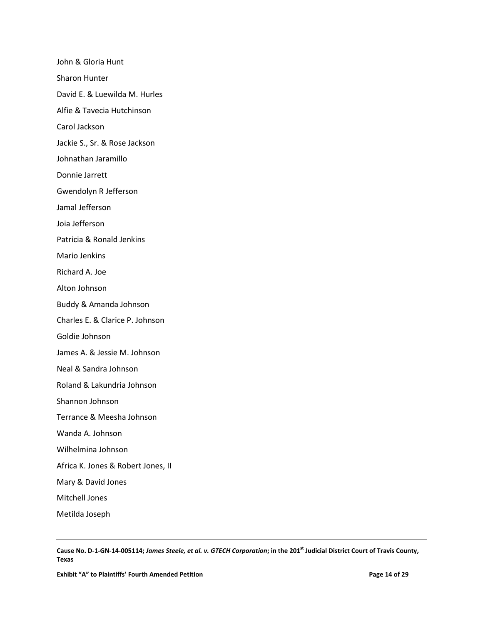John & Gloria Hunt Sharon Hunter David E. & Luewilda M. Hurles Alfie & Tavecia Hutchinson Carol Jackson Jackie S., Sr. & Rose Jackson Johnathan Jaramillo Donnie Jarrett Gwendolyn R Jefferson Jamal Jefferson Joia Jefferson Patricia & Ronald Jenkins Mario Jenkins Richard A. Joe Alton Johnson Buddy & Amanda Johnson Charles E. & Clarice P. Johnson Goldie Johnson James A. & Jessie M. Johnson Neal & Sandra Johnson Roland & Lakundria Johnson Shannon Johnson Terrance & Meesha Johnson Wanda A. Johnson Wilhelmina Johnson Africa K. Jones & Robert Jones, II Mary & David Jones Mitchell Jones Metilda Joseph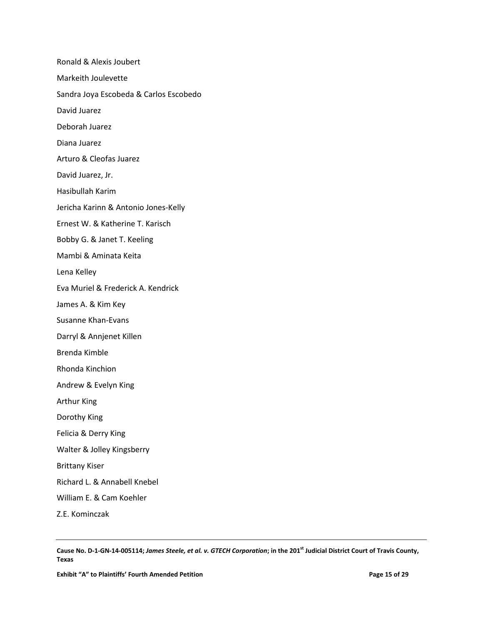Ronald & Alexis Joubert Markeith Joulevette Sandra Joya Escobeda & Carlos Escobedo David Juarez Deborah Juarez Diana Juarez Arturo & Cleofas Juarez David Juarez, Jr. Hasibullah Karim Jericha Karinn & Antonio Jones-Kelly Ernest W. & Katherine T. Karisch Bobby G. & Janet T. Keeling Mambi & Aminata Keita Lena Kelley Eva Muriel & Frederick A. Kendrick James A. & Kim Key Susanne Khan-Evans Darryl & Annjenet Killen Brenda Kimble Rhonda Kinchion Andrew & Evelyn King Arthur King Dorothy King Felicia & Derry King Walter & Jolley Kingsberry Brittany Kiser Richard L. & Annabell Knebel William E. & Cam Koehler Z.E. Kominczak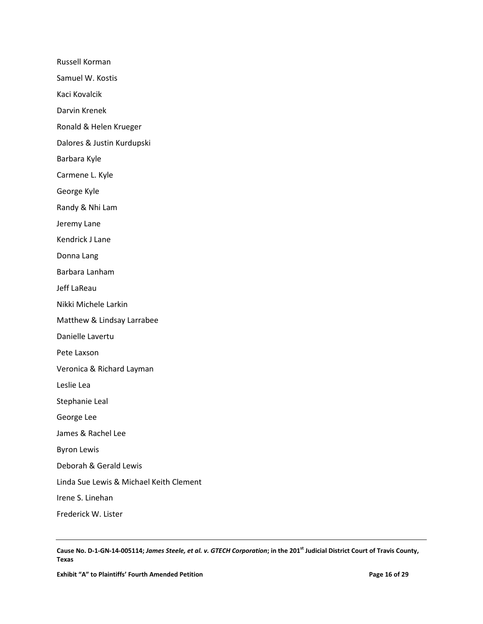Russell Korman

Samuel W. Kostis

Kaci Kovalcik

Darvin Krenek

Ronald & Helen Krueger

Dalores & Justin Kurdupski

Barbara Kyle

Carmene L. Kyle

George Kyle

Randy & Nhi Lam

Jeremy Lane

Kendrick J Lane

Donna Lang

Barbara Lanham

Jeff LaReau

Nikki Michele Larkin

Matthew & Lindsay Larrabee

Danielle Lavertu

Pete Laxson

Veronica & Richard Layman

Leslie Lea

Stephanie Leal

George Lee

James & Rachel Lee

Byron Lewis

Deborah & Gerald Lewis

Linda Sue Lewis & Michael Keith Clement

Irene S. Linehan

Frederick W. Lister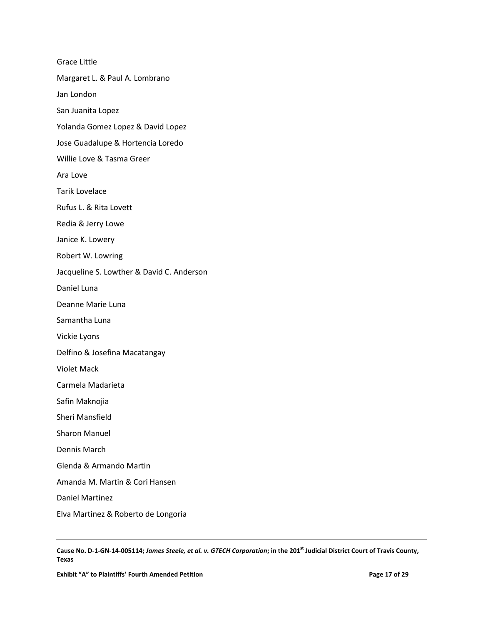Grace Little Margaret L. & Paul A. Lombrano Jan London San Juanita Lopez Yolanda Gomez Lopez & David Lopez Jose Guadalupe & Hortencia Loredo Willie Love & Tasma Greer Ara Love Tarik Lovelace Rufus L. & Rita Lovett Redia & Jerry Lowe Janice K. Lowery Robert W. Lowring Jacqueline S. Lowther & David C. Anderson Daniel Luna Deanne Marie Luna Samantha Luna Vickie Lyons Delfino & Josefina Macatangay Violet Mack Carmela Madarieta Safin Maknojia Sheri Mansfield Sharon Manuel Dennis March Glenda & Armando Martin Amanda M. Martin & Cori Hansen Daniel Martinez Elva Martinez & Roberto de Longoria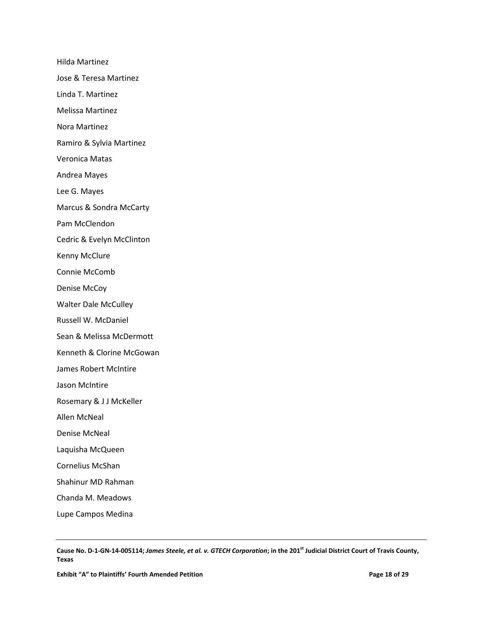Hilda Martinez Jose & Teresa Martinez Linda T. Martinez Melissa Martinez Nora Martinez Ramiro & Sylvia Martinez Veronica Matas Andrea Mayes Lee G. Mayes Marcus & Sondra McCarty Pam McClendon Cedric & Evelyn McClinton Kenny McClure Connie McComb Denise McCoy Walter Dale McCulley Russell W. McDaniel Sean & Melissa McDermott Kenneth & Clorine McGowan James Robert McIntire Jason McIntire Rosemary & J J McKeller Allen McNeal Denise McNeal Laquisha McQueen Cornelius McShan Shahinur MD Rahman Chanda M. Meadows

Lupe Campos Medina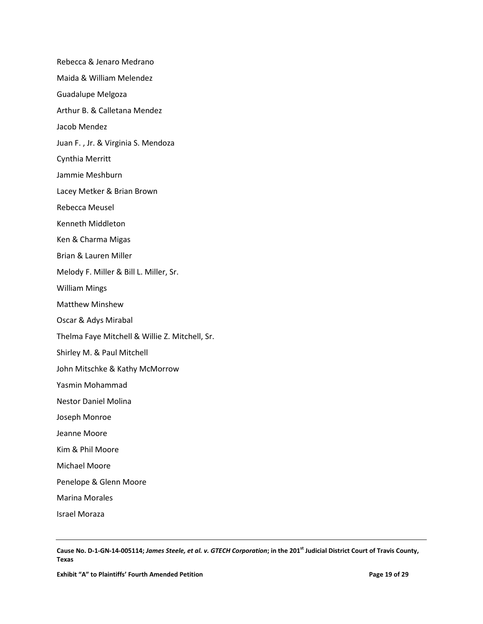Rebecca & Jenaro Medrano Maida & William Melendez Guadalupe Melgoza Arthur B. & Calletana Mendez Jacob Mendez Juan F. , Jr. & Virginia S. Mendoza Cynthia Merritt Jammie Meshburn Lacey Metker & Brian Brown Rebecca Meusel Kenneth Middleton Ken & Charma Migas Brian & Lauren Miller Melody F. Miller & Bill L. Miller, Sr. William Mings Matthew Minshew Oscar & Adys Mirabal Thelma Faye Mitchell & Willie Z. Mitchell, Sr. Shirley M. & Paul Mitchell John Mitschke & Kathy McMorrow Yasmin Mohammad Nestor Daniel Molina Joseph Monroe Jeanne Moore Kim & Phil Moore Michael Moore Penelope & Glenn Moore Marina Morales Israel Moraza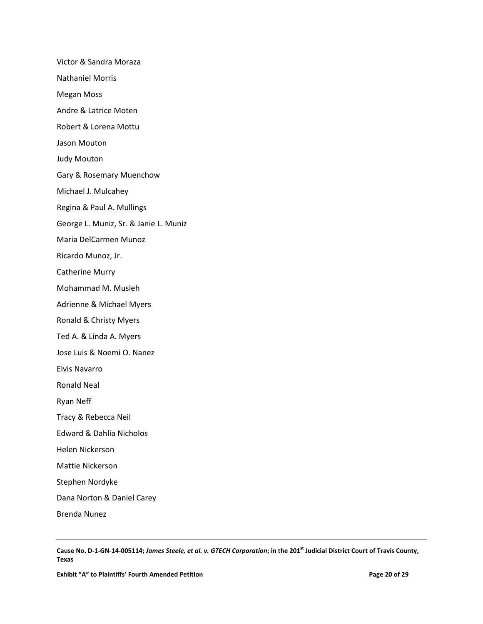Victor & Sandra Moraza Nathaniel Morris Megan Moss Andre & Latrice Moten Robert & Lorena Mottu Jason Mouton Judy Mouton Gary & Rosemary Muenchow Michael J. Mulcahey Regina & Paul A. Mullings George L. Muniz, Sr. & Janie L. Muniz Maria DelCarmen Munoz Ricardo Munoz, Jr. Catherine Murry Mohammad M. Musleh Adrienne & Michael Myers Ronald & Christy Myers Ted A. & Linda A. Myers Jose Luis & Noemi O. Nanez Elvis Navarro Ronald Neal Ryan Neff Tracy & Rebecca Neil Edward & Dahlia Nicholos Helen Nickerson Mattie Nickerson Stephen Nordyke Dana Norton & Daniel Carey Brenda Nunez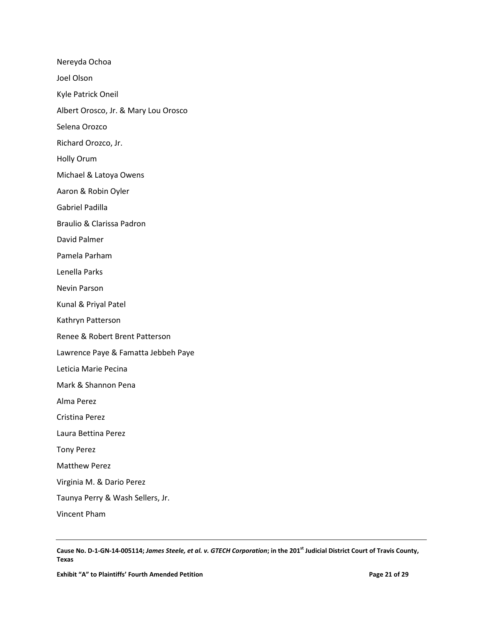Nereyda Ochoa Joel Olson Kyle Patrick Oneil Albert Orosco, Jr. & Mary Lou Orosco Selena Orozco Richard Orozco, Jr. Holly Orum Michael & Latoya Owens Aaron & Robin Oyler Gabriel Padilla Braulio & Clarissa Padron David Palmer Pamela Parham Lenella Parks Nevin Parson Kunal & Priyal Patel Kathryn Patterson Renee & Robert Brent Patterson Lawrence Paye & Famatta Jebbeh Paye Leticia Marie Pecina Mark & Shannon Pena Alma Perez Cristina Perez Laura Bettina Perez Tony Perez Matthew Perez Virginia M. & Dario Perez Taunya Perry & Wash Sellers, Jr. Vincent Pham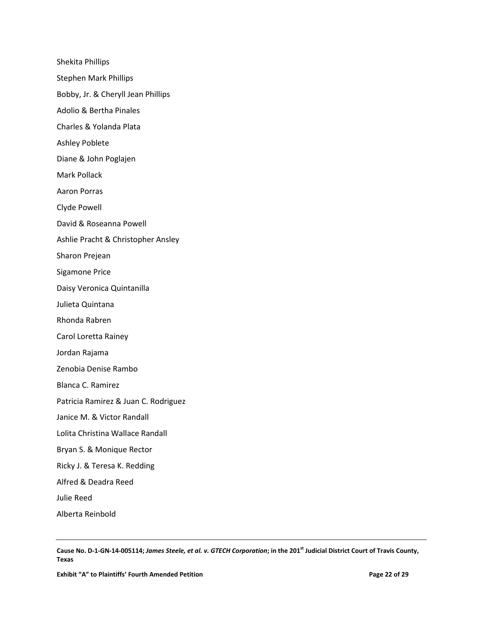Shekita Phillips Stephen Mark Phillips Bobby, Jr. & Cheryll Jean Phillips Adolio & Bertha Pinales Charles & Yolanda Plata Ashley Poblete Diane & John Poglajen Mark Pollack Aaron Porras Clyde Powell David & Roseanna Powell Ashlie Pracht & Christopher Ansley Sharon Prejean Sigamone Price Daisy Veronica Quintanilla Julieta Quintana Rhonda Rabren Carol Loretta Rainey Jordan Rajama Zenobia Denise Rambo Blanca C. Ramirez Patricia Ramirez & Juan C. Rodriguez Janice M. & Victor Randall Lolita Christina Wallace Randall Bryan S. & Monique Rector Ricky J. & Teresa K. Redding Alfred & Deadra Reed Julie Reed Alberta Reinbold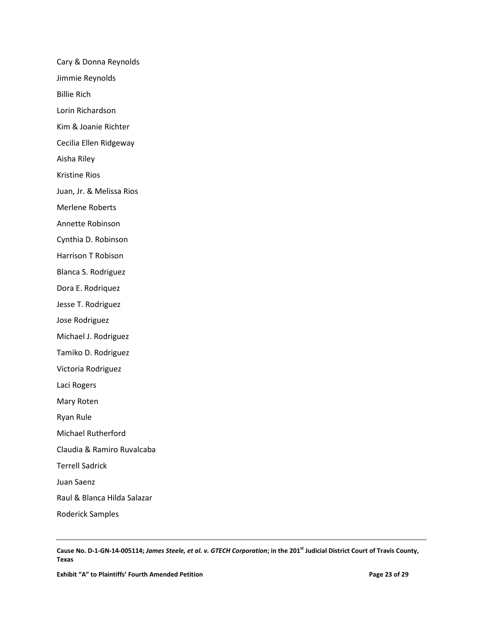Cary & Donna Reynolds Jimmie Reynolds Billie Rich Lorin Richardson Kim & Joanie Richter Cecilia Ellen Ridgeway Aisha Riley Kristine Rios Juan, Jr. & Melissa Rios Merlene Roberts Annette Robinson Cynthia D. Robinson Harrison T Robison Blanca S. Rodriguez Dora E. Rodriquez Jesse T. Rodriguez Jose Rodriguez Michael J. Rodriguez Tamiko D. Rodriguez Victoria Rodriguez Laci Rogers Mary Roten Ryan Rule Michael Rutherford Claudia & Ramiro Ruvalcaba Terrell Sadrick Juan Saenz Raul & Blanca Hilda Salazar Roderick Samples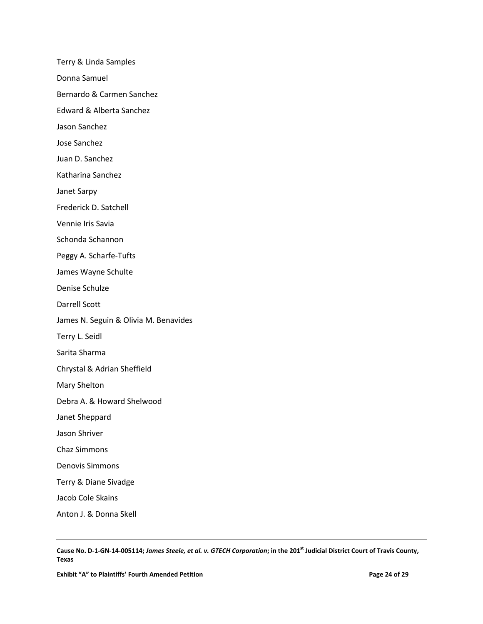Terry & Linda Samples Donna Samuel Bernardo & Carmen Sanchez Edward & Alberta Sanchez Jason Sanchez Jose Sanchez Juan D. Sanchez Katharina Sanchez Janet Sarpy Frederick D. Satchell Vennie Iris Savia Schonda Schannon Peggy A. Scharfe-Tufts James Wayne Schulte Denise Schulze Darrell Scott James N. Seguin & Olivia M. Benavides Terry L. Seidl Sarita Sharma Chrystal & Adrian Sheffield Mary Shelton Debra A. & Howard Shelwood Janet Sheppard Jason Shriver Chaz Simmons Denovis Simmons Terry & Diane Sivadge Jacob Cole Skains Anton J. & Donna Skell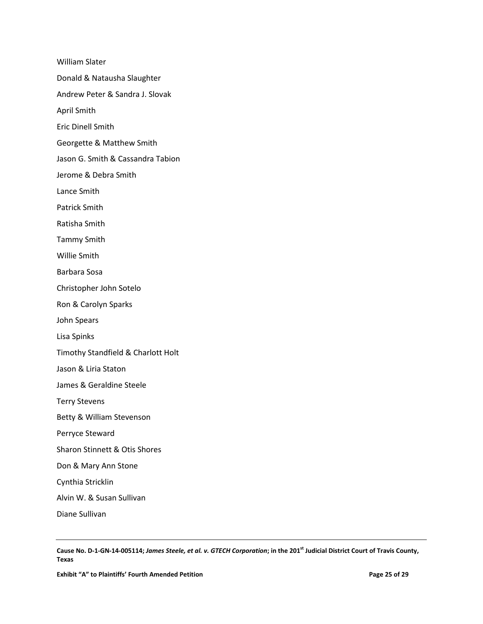William Slater Donald & Natausha Slaughter Andrew Peter & Sandra J. Slovak April Smith Eric Dinell Smith Georgette & Matthew Smith Jason G. Smith & Cassandra Tabion Jerome & Debra Smith Lance Smith Patrick Smith Ratisha Smith Tammy Smith Willie Smith Barbara Sosa Christopher John Sotelo Ron & Carolyn Sparks John Spears Lisa Spinks Timothy Standfield & Charlott Holt Jason & Liria Staton James & Geraldine Steele Terry Stevens Betty & William Stevenson Perryce Steward Sharon Stinnett & Otis Shores Don & Mary Ann Stone Cynthia Stricklin Alvin W. & Susan Sullivan Diane Sullivan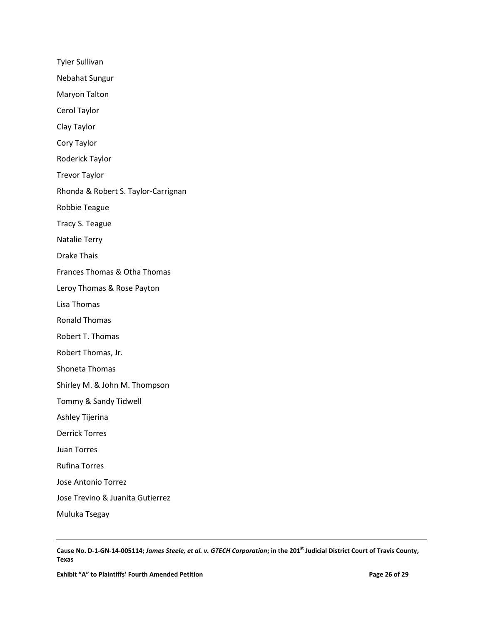Tyler Sullivan Nebahat Sungur Maryon Talton Cerol Taylor Clay Taylor Cory Taylor Roderick Taylor Trevor Taylor Rhonda & Robert S. Taylor-Carrignan Robbie Teague Tracy S. Teague Natalie Terry Drake Thais Frances Thomas & Otha Thomas Leroy Thomas & Rose Payton Lisa Thomas Ronald Thomas Robert T. Thomas Robert Thomas, Jr. Shoneta Thomas Shirley M. & John M. Thompson Tommy & Sandy Tidwell Ashley Tijerina Derrick Torres Juan Torres Rufina Torres Jose Antonio Torrez Jose Trevino & Juanita Gutierrez Muluka Tsegay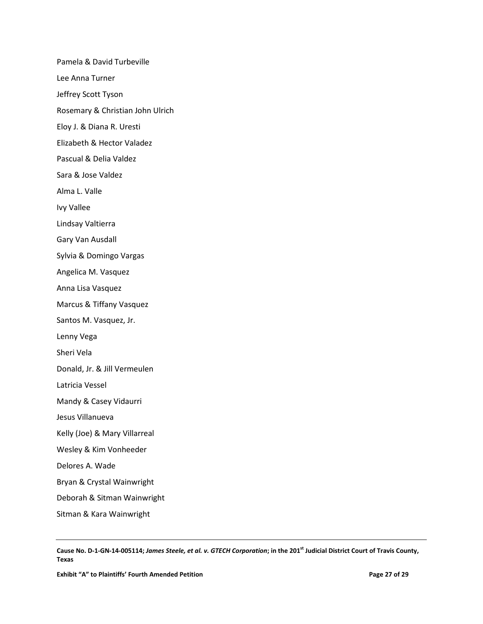Pamela & David Turbeville Lee Anna Turner Jeffrey Scott Tyson Rosemary & Christian John Ulrich Eloy J. & Diana R. Uresti Elizabeth & Hector Valadez Pascual & Delia Valdez Sara & Jose Valdez Alma L. Valle Ivy Vallee Lindsay Valtierra Gary Van Ausdall Sylvia & Domingo Vargas Angelica M. Vasquez Anna Lisa Vasquez Marcus & Tiffany Vasquez Santos M. Vasquez, Jr. Lenny Vega Sheri Vela Donald, Jr. & Jill Vermeulen Latricia Vessel Mandy & Casey Vidaurri Jesus Villanueva Kelly (Joe) & Mary Villarreal Wesley & Kim Vonheeder Delores A. Wade Bryan & Crystal Wainwright Deborah & Sitman Wainwright Sitman & Kara Wainwright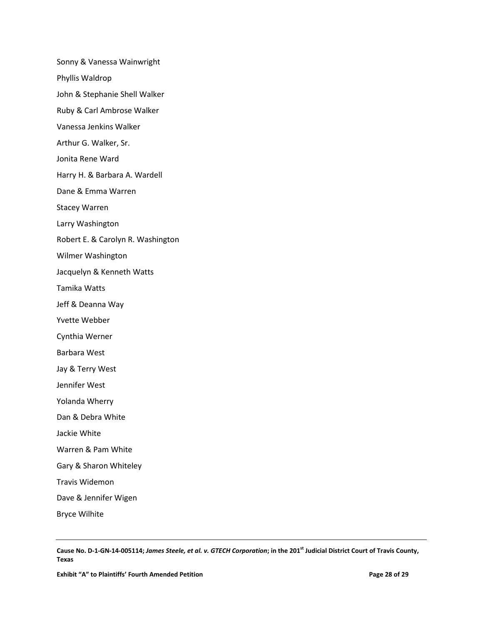Sonny & Vanessa Wainwright Phyllis Waldrop John & Stephanie Shell Walker Ruby & Carl Ambrose Walker Vanessa Jenkins Walker Arthur G. Walker, Sr. Jonita Rene Ward Harry H. & Barbara A. Wardell Dane & Emma Warren Stacey Warren Larry Washington Robert E. & Carolyn R. Washington Wilmer Washington Jacquelyn & Kenneth Watts Tamika Watts Jeff & Deanna Way Yvette Webber Cynthia Werner Barbara West Jay & Terry West Jennifer West Yolanda Wherry Dan & Debra White Jackie White Warren & Pam White Gary & Sharon Whiteley Travis Widemon Dave & Jennifer Wigen Bryce Wilhite